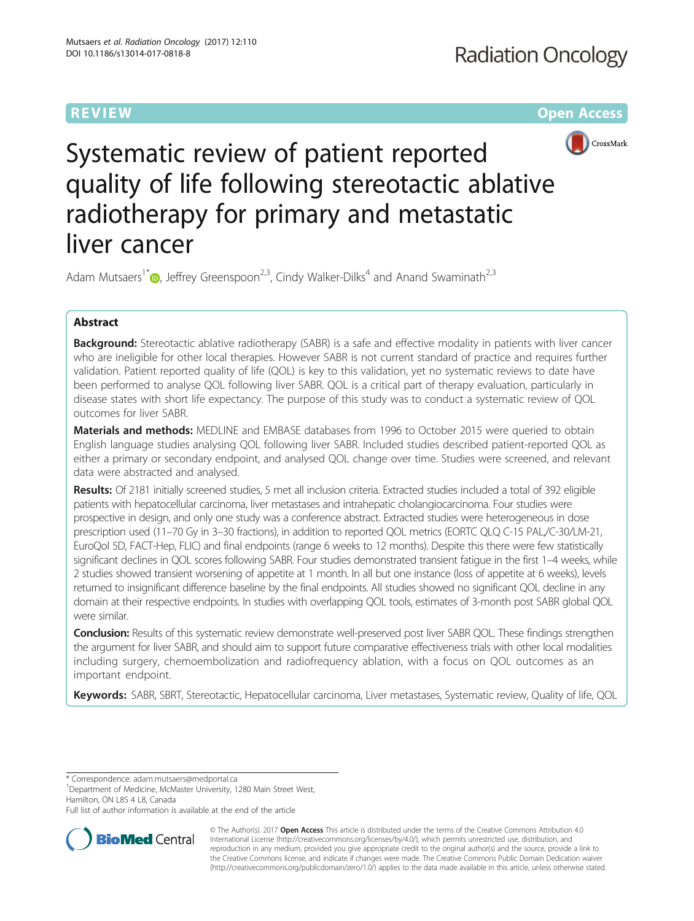R EVI EW Open Access



Systematic review of patient reported quality of life following stereotactic ablative radiotherapy for primary and metastatic liver cancer

Adam Mutsaers<sup>1\*</sup>  $\bullet$ , Jeffrey Greenspoon<sup>2,3</sup>, Cindy Walker-Dilks<sup>4</sup> and Anand Swaminath<sup>2,3</sup>

# Abstract

Background: Stereotactic ablative radiotherapy (SABR) is a safe and effective modality in patients with liver cancer who are ineligible for other local therapies. However SABR is not current standard of practice and requires further validation. Patient reported quality of life (QOL) is key to this validation, yet no systematic reviews to date have been performed to analyse QOL following liver SABR. QOL is a critical part of therapy evaluation, particularly in disease states with short life expectancy. The purpose of this study was to conduct a systematic review of QOL outcomes for liver SABR.

Materials and methods: MEDLINE and EMBASE databases from 1996 to October 2015 were queried to obtain English language studies analysing QOL following liver SABR. Included studies described patient-reported QOL as either a primary or secondary endpoint, and analysed QOL change over time. Studies were screened, and relevant data were abstracted and analysed.

Results: Of 2181 initially screened studies, 5 met all inclusion criteria. Extracted studies included a total of 392 eligible patients with hepatocellular carcinoma, liver metastases and intrahepatic cholangiocarcinoma. Four studies were prospective in design, and only one study was a conference abstract. Extracted studies were heterogeneous in dose prescription used (11–70 Gy in 3–30 fractions), in addition to reported QOL metrics (EORTC QLQ C-15 PAL,/C-30/LM-21, EuroQol 5D, FACT-Hep, FLIC) and final endpoints (range 6 weeks to 12 months). Despite this there were few statistically significant declines in QOL scores following SABR. Four studies demonstrated transient fatigue in the first 1–4 weeks, while 2 studies showed transient worsening of appetite at 1 month. In all but one instance (loss of appetite at 6 weeks), levels returned to insignificant difference baseline by the final endpoints. All studies showed no significant QOL decline in any domain at their respective endpoints. In studies with overlapping QOL tools, estimates of 3-month post SABR global QOL were similar.

Conclusion: Results of this systematic review demonstrate well-preserved post liver SABR QOL. These findings strengthen the argument for liver SABR, and should aim to support future comparative effectiveness trials with other local modalities including surgery, chemoembolization and radiofrequency ablation, with a focus on QOL outcomes as an important endpoint.

Keywords: SABR, SBRT, Stereotactic, Hepatocellular carcinoma, Liver metastases, Systematic review, Quality of life, QOL

\* Correspondence: [adam.mutsaers@medportal.ca](mailto:adam.mutsaers@medportal.ca) <sup>1</sup>

<sup>1</sup>Department of Medicine, McMaster University, 1280 Main Street West, Hamilton, ON L8S 4 L8, Canada

Full list of author information is available at the end of the article



© The Author(s). 2017 **Open Access** This article is distributed under the terms of the Creative Commons Attribution 4.0 International License [\(http://creativecommons.org/licenses/by/4.0/](http://creativecommons.org/licenses/by/4.0/)), which permits unrestricted use, distribution, and reproduction in any medium, provided you give appropriate credit to the original author(s) and the source, provide a link to the Creative Commons license, and indicate if changes were made. The Creative Commons Public Domain Dedication waiver [\(http://creativecommons.org/publicdomain/zero/1.0/](http://creativecommons.org/publicdomain/zero/1.0/)) applies to the data made available in this article, unless otherwise stated.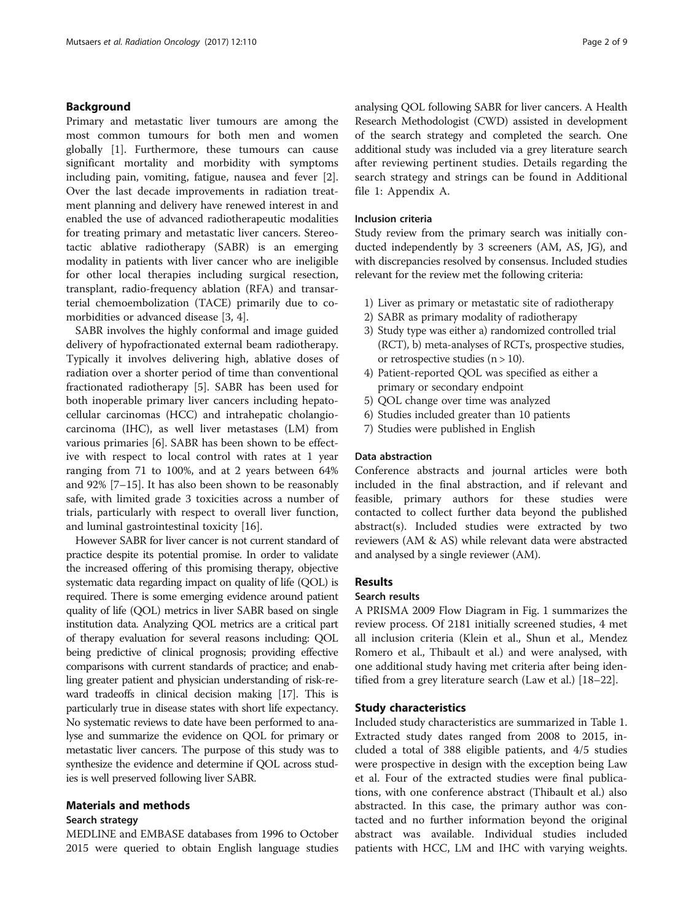## Background

Primary and metastatic liver tumours are among the most common tumours for both men and women globally [\[1](#page-7-0)]. Furthermore, these tumours can cause significant mortality and morbidity with symptoms including pain, vomiting, fatigue, nausea and fever [\[2](#page-7-0)]. Over the last decade improvements in radiation treatment planning and delivery have renewed interest in and enabled the use of advanced radiotherapeutic modalities for treating primary and metastatic liver cancers. Stereotactic ablative radiotherapy (SABR) is an emerging modality in patients with liver cancer who are ineligible for other local therapies including surgical resection, transplant, radio-frequency ablation (RFA) and transarterial chemoembolization (TACE) primarily due to comorbidities or advanced disease [\[3](#page-7-0), [4](#page-7-0)].

SABR involves the highly conformal and image guided delivery of hypofractionated external beam radiotherapy. Typically it involves delivering high, ablative doses of radiation over a shorter period of time than conventional fractionated radiotherapy [[5\]](#page-7-0). SABR has been used for both inoperable primary liver cancers including hepatocellular carcinomas (HCC) and intrahepatic cholangiocarcinoma (IHC), as well liver metastases (LM) from various primaries [\[6](#page-7-0)]. SABR has been shown to be effective with respect to local control with rates at 1 year ranging from 71 to 100%, and at 2 years between 64% and 92% [[7](#page-7-0)–[15](#page-7-0)]. It has also been shown to be reasonably safe, with limited grade 3 toxicities across a number of trials, particularly with respect to overall liver function, and luminal gastrointestinal toxicity [\[16](#page-7-0)].

However SABR for liver cancer is not current standard of practice despite its potential promise. In order to validate the increased offering of this promising therapy, objective systematic data regarding impact on quality of life (QOL) is required. There is some emerging evidence around patient quality of life (QOL) metrics in liver SABR based on single institution data. Analyzing QOL metrics are a critical part of therapy evaluation for several reasons including: QOL being predictive of clinical prognosis; providing effective comparisons with current standards of practice; and enabling greater patient and physician understanding of risk-reward tradeoffs in clinical decision making [[17](#page-7-0)]. This is particularly true in disease states with short life expectancy. No systematic reviews to date have been performed to analyse and summarize the evidence on QOL for primary or metastatic liver cancers. The purpose of this study was to synthesize the evidence and determine if QOL across studies is well preserved following liver SABR.

## Materials and methods

## Search strategy

MEDLINE and EMBASE databases from 1996 to October 2015 were queried to obtain English language studies analysing QOL following SABR for liver cancers. A Health Research Methodologist (CWD) assisted in development of the search strategy and completed the search. One additional study was included via a grey literature search after reviewing pertinent studies. Details regarding the search strategy and strings can be found in Additional file [1](#page-6-0): Appendix A.

### Inclusion criteria

Study review from the primary search was initially conducted independently by 3 screeners (AM, AS, JG), and with discrepancies resolved by consensus. Included studies relevant for the review met the following criteria:

- 1) Liver as primary or metastatic site of radiotherapy
- 2) SABR as primary modality of radiotherapy
- 3) Study type was either a) randomized controlled trial (RCT), b) meta-analyses of RCTs, prospective studies, or retrospective studies  $(n > 10)$ .
- 4) Patient-reported QOL was specified as either a primary or secondary endpoint
- 5) QOL change over time was analyzed
- 6) Studies included greater than 10 patients
- 7) Studies were published in English

## Data abstraction

Conference abstracts and journal articles were both included in the final abstraction, and if relevant and feasible, primary authors for these studies were contacted to collect further data beyond the published abstract(s). Included studies were extracted by two reviewers (AM & AS) while relevant data were abstracted and analysed by a single reviewer (AM).

### Results

# Search results

A PRISMA 2009 Flow Diagram in Fig. [1](#page-2-0) summarizes the review process. Of 2181 initially screened studies, 4 met all inclusion criteria (Klein et al., Shun et al., Mendez Romero et al., Thibault et al.) and were analysed, with one additional study having met criteria after being identified from a grey literature search (Law et al.) [[18](#page-7-0)–[22](#page-7-0)].

## Study characteristics

Included study characteristics are summarized in Table [1](#page-3-0). Extracted study dates ranged from 2008 to 2015, included a total of 388 eligible patients, and 4/5 studies were prospective in design with the exception being Law et al. Four of the extracted studies were final publications, with one conference abstract (Thibault et al.) also abstracted. In this case, the primary author was contacted and no further information beyond the original abstract was available. Individual studies included patients with HCC, LM and IHC with varying weights.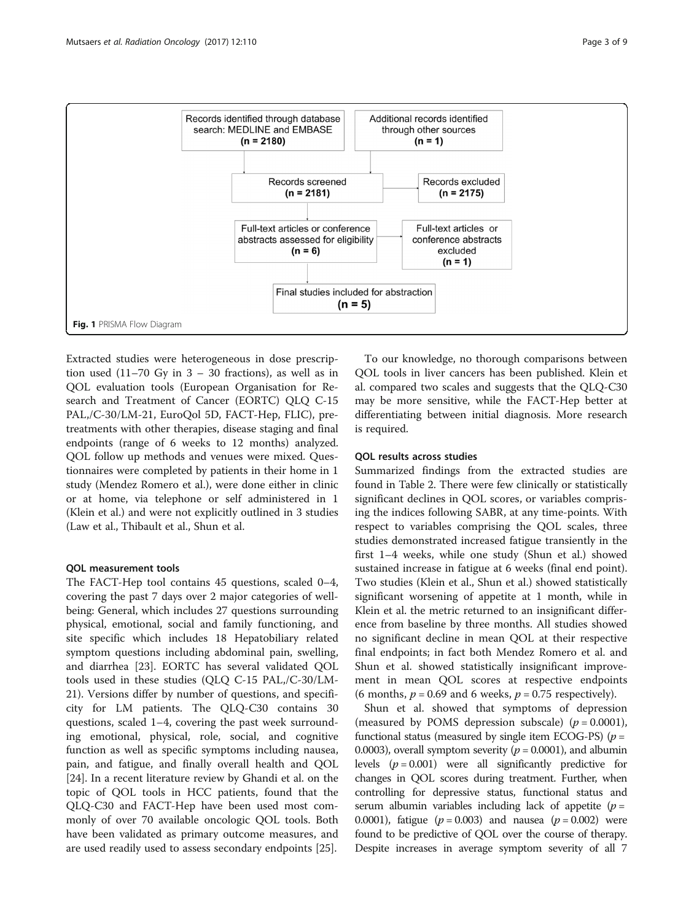<span id="page-2-0"></span>

Extracted studies were heterogeneous in dose prescription used  $(11–70 \text{ Gy in } 3 – 30 \text{ fractions})$ , as well as in QOL evaluation tools (European Organisation for Research and Treatment of Cancer (EORTC) QLQ C-15 PAL,/C-30/LM-21, EuroQol 5D, FACT-Hep, FLIC), pretreatments with other therapies, disease staging and final endpoints (range of 6 weeks to 12 months) analyzed. QOL follow up methods and venues were mixed. Questionnaires were completed by patients in their home in 1 study (Mendez Romero et al.), were done either in clinic or at home, via telephone or self administered in 1 (Klein et al.) and were not explicitly outlined in 3 studies (Law et al., Thibault et al., Shun et al.

# QOL measurement tools

The FACT-Hep tool contains 45 questions, scaled 0–4, covering the past 7 days over 2 major categories of wellbeing: General, which includes 27 questions surrounding physical, emotional, social and family functioning, and site specific which includes 18 Hepatobiliary related symptom questions including abdominal pain, swelling, and diarrhea [[23\]](#page-7-0). EORTC has several validated QOL tools used in these studies (QLQ C-15 PAL,/C-30/LM-21). Versions differ by number of questions, and specificity for LM patients. The QLQ-C30 contains 30 questions, scaled 1–4, covering the past week surrounding emotional, physical, role, social, and cognitive function as well as specific symptoms including nausea, pain, and fatigue, and finally overall health and QOL [[24\]](#page-7-0). In a recent literature review by Ghandi et al. on the topic of QOL tools in HCC patients, found that the QLQ-C30 and FACT-Hep have been used most commonly of over 70 available oncologic QOL tools. Both have been validated as primary outcome measures, and are used readily used to assess secondary endpoints [\[25\]](#page-7-0).

To our knowledge, no thorough comparisons between QOL tools in liver cancers has been published. Klein et al. compared two scales and suggests that the QLQ-C30 may be more sensitive, while the FACT-Hep better at differentiating between initial diagnosis. More research is required.

## QOL results across studies

Summarized findings from the extracted studies are found in Table [2](#page-4-0). There were few clinically or statistically significant declines in QOL scores, or variables comprising the indices following SABR, at any time-points. With respect to variables comprising the QOL scales, three studies demonstrated increased fatigue transiently in the first 1–4 weeks, while one study (Shun et al.) showed sustained increase in fatigue at 6 weeks (final end point). Two studies (Klein et al., Shun et al.) showed statistically significant worsening of appetite at 1 month, while in Klein et al. the metric returned to an insignificant difference from baseline by three months. All studies showed no significant decline in mean QOL at their respective final endpoints; in fact both Mendez Romero et al. and Shun et al. showed statistically insignificant improvement in mean QOL scores at respective endpoints (6 months,  $p = 0.69$  and 6 weeks,  $p = 0.75$  respectively).

Shun et al. showed that symptoms of depression (measured by POMS depression subscale)  $(p = 0.0001)$ , functional status (measured by single item ECOG-PS)  $(p =$ 0.0003), overall symptom severity ( $p = 0.0001$ ), and albumin levels  $(p = 0.001)$  were all significantly predictive for changes in QOL scores during treatment. Further, when controlling for depressive status, functional status and serum albumin variables including lack of appetite  $(p =$ 0.0001), fatigue ( $p = 0.003$ ) and nausea ( $p = 0.002$ ) were found to be predictive of QOL over the course of therapy. Despite increases in average symptom severity of all 7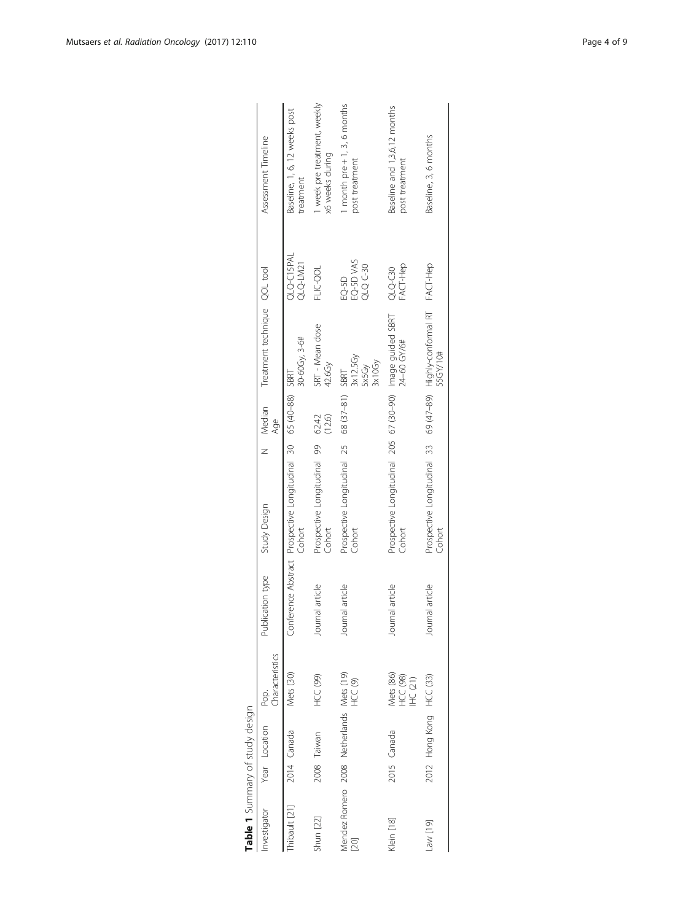<span id="page-3-0"></span>

| Table 1 Summary of study design                  |                         |                                             |                  |                                                                           |                 |                              |                                       |                                                 |
|--------------------------------------------------|-------------------------|---------------------------------------------|------------------|---------------------------------------------------------------------------|-----------------|------------------------------|---------------------------------------|-------------------------------------------------|
| Investigator                                     | Year Location           | Characteristics<br>Pop.                     | Publication type | Study Design                                                              | N Median<br>Age | Treatment technique QOL tool |                                       | Assessment Timeline                             |
| Thibault [21]                                    | 2014 Canada             | Mets (30)                                   |                  | Conference Abstract Prospective Longitudinal 30 65 (40-88) SBRT<br>Cohort |                 | 30-60Gy, 3-6#                | QLQ-C15PAL<br><b>QLQ-LM21</b>         | Baseline, 1, 6, 12 weeks post<br>treatment      |
| Shun [22]                                        | 2008 Taiwan             | HCC (99)                                    | Journal article  | Prospective Longitudinal 99 62.42<br>Cohort                               | (12.6)          | SRT - Mean dose<br>42.6Gy    | FLIC-QOL                              | I week pre treatment, weekly<br>x6 weeks during |
| Mendez Romero 2008 Netherlands Mets (19)<br>[20] |                         |                                             | Journal article  | Prospective Longitudinal 25 68 (37-81) SBRT<br>Cohort                     |                 | 3x12.5Gy<br>3x10Gy<br>5x5Gy  | EQ-5D VAS<br><b>QLQ C-30</b><br>EQ-5D | I month pre $+1, 3, 6$ months<br>post treatment |
| Klein [18]                                       | 2015 Canada             | Mets (86)<br>HCC <sub>(98)</sub><br>HC (21) | Journal article  | Prospective Longitudinal 205 67 (30-90) Image guided SBRT<br>Cohort       |                 | 24-60 GY/6#                  | FACT-Hep<br>$QLO-C30$                 | Baseline and 1,3,6,12 months<br>post treatment  |
| [9] wel                                          | 2012 Hong Kong HCC (33) |                                             | Journal article  | Prospective Longitudinal 33 69 (47-89) Highly-conformal RT<br>Cohort      |                 | 55GY/10#                     | FACT-Hep                              | Baseline, 3, 6 months                           |
|                                                  |                         |                                             |                  |                                                                           |                 |                              |                                       |                                                 |

| こここて<br>١<br>ジラリフ |
|-------------------|
| てきこ<br>j          |
| ₹                 |
| ו מר ממ           |
|                   |
|                   |
|                   |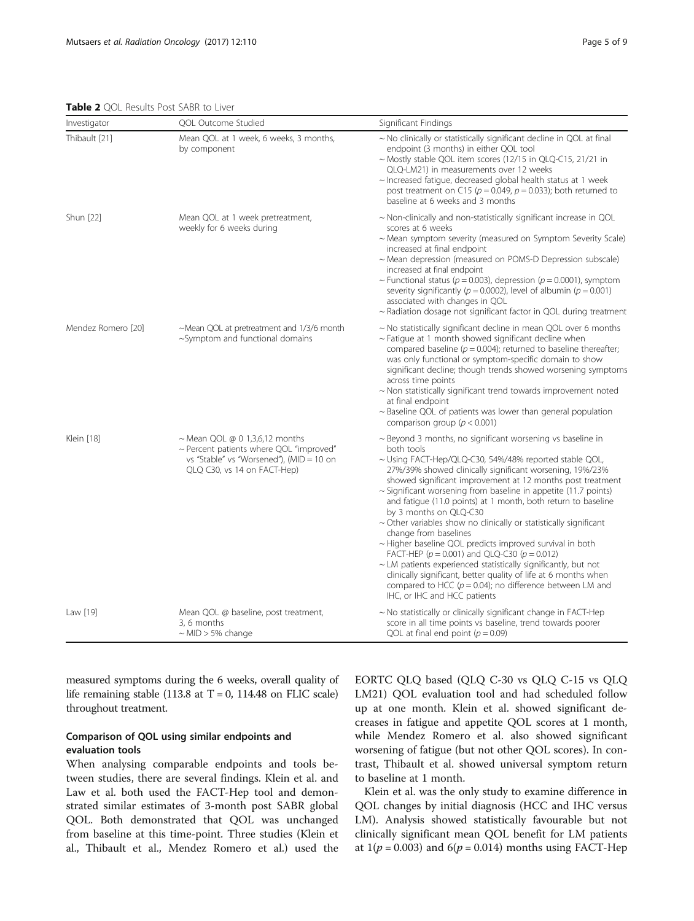<span id="page-4-0"></span>Table 2 00L Results Post SABR to Liver

| Investigator       | QOL Outcome Studied                                                                                                                                            | Significant Findings                                                                                                                                                                                                                                                                                                                                                                                                                                                                                                                                                                                                                                                                                                                                                                                                                                                                                  |
|--------------------|----------------------------------------------------------------------------------------------------------------------------------------------------------------|-------------------------------------------------------------------------------------------------------------------------------------------------------------------------------------------------------------------------------------------------------------------------------------------------------------------------------------------------------------------------------------------------------------------------------------------------------------------------------------------------------------------------------------------------------------------------------------------------------------------------------------------------------------------------------------------------------------------------------------------------------------------------------------------------------------------------------------------------------------------------------------------------------|
| Thibault [21]      | Mean QOL at 1 week, 6 weeks, 3 months,<br>by component                                                                                                         | ~ No clinically or statistically significant decline in QOL at final<br>endpoint (3 months) in either QOL tool<br>~ Mostly stable QOL item scores (12/15 in QLQ-C15, 21/21 in<br>QLQ-LM21) in measurements over 12 weeks<br>$\sim$ Increased fatigue, decreased global health status at 1 week<br>post treatment on C15 ( $p = 0.049$ , $p = 0.033$ ); both returned to<br>baseline at 6 weeks and 3 months                                                                                                                                                                                                                                                                                                                                                                                                                                                                                           |
| Shun [22]          | Mean QOL at 1 week pretreatment,<br>weekly for 6 weeks during                                                                                                  | ~ Non-clinically and non-statistically significant increase in QOL<br>scores at 6 weeks<br>~ Mean symptom severity (measured on Symptom Severity Scale)<br>increased at final endpoint<br>~ Mean depression (measured on POMS-D Depression subscale)<br>increased at final endpoint<br>~ Functional status ( $p = 0.003$ ), depression ( $p = 0.0001$ ), symptom<br>severity significantly ( $p = 0.0002$ ), level of albumin ( $p = 0.001$ )<br>associated with changes in QOL<br>~ Radiation dosage not significant factor in QOL during treatment                                                                                                                                                                                                                                                                                                                                                  |
| Mendez Romero [20] | ~Mean QOL at pretreatment and 1/3/6 month<br>~Symptom and functional domains                                                                                   | ~ No statistically significant decline in mean QOL over 6 months<br>$\sim$ Fatigue at 1 month showed significant decline when<br>compared baseline ( $p = 0.004$ ); returned to baseline thereafter;<br>was only functional or symptom-specific domain to show<br>significant decline; though trends showed worsening symptoms<br>across time points<br>$\sim$ Non statistically significant trend towards improvement noted<br>at final endpoint<br>~ Baseline QOL of patients was lower than general population<br>comparison group ( $p < 0.001$ )                                                                                                                                                                                                                                                                                                                                                 |
| Klein [18]         | $\sim$ Mean QOL @ 0 1,3,6,12 months<br>$\sim$ Percent patients where QOL "improved"<br>vs "Stable" vs "Worsened"), (MID = 10 on<br>QLQ C30, vs 14 on FACT-Hep) | $\sim$ Beyond 3 months, no significant worsening vs baseline in<br>both tools<br>~ Using FACT-Hep/QLQ-C30, 54%/48% reported stable QOL,<br>27%/39% showed clinically significant worsening, 19%/23%<br>showed significant improvement at 12 months post treatment<br>$\sim$ Significant worsening from baseline in appetite (11.7 points)<br>and fatigue (11.0 points) at 1 month, both return to baseline<br>by 3 months on QLQ-C30<br>$\sim$ Other variables show no clinically or statistically significant<br>change from baselines<br>~ Higher baseline QOL predicts improved survival in both<br>FACT-HEP ( $p = 0.001$ ) and QLQ-C30 ( $p = 0.012$ )<br>$\sim$ LM patients experienced statistically significantly, but not<br>clinically significant, better quality of life at 6 months when<br>compared to HCC ( $p = 0.04$ ); no difference between LM and<br>IHC, or IHC and HCC patients |
| Law [19]           | Mean QOL @ baseline, post treatment,<br>3, 6 months<br>$\sim$ MID $>$ 5% change                                                                                | ~ No statistically or clinically significant change in FACT-Hep<br>score in all time points vs baseline, trend towards poorer<br>QOL at final end point ( $p = 0.09$ )                                                                                                                                                                                                                                                                                                                                                                                                                                                                                                                                                                                                                                                                                                                                |

measured symptoms during the 6 weeks, overall quality of life remaining stable (113.8 at  $T = 0$ , 114.48 on FLIC scale) throughout treatment.

# Comparison of QOL using similar endpoints and evaluation tools

When analysing comparable endpoints and tools between studies, there are several findings. Klein et al. and Law et al. both used the FACT-Hep tool and demonstrated similar estimates of 3-month post SABR global QOL. Both demonstrated that QOL was unchanged from baseline at this time-point. Three studies (Klein et al., Thibault et al., Mendez Romero et al.) used the EORTC QLQ based (QLQ C-30 vs QLQ C-15 vs QLQ LM21) QOL evaluation tool and had scheduled follow up at one month. Klein et al. showed significant decreases in fatigue and appetite QOL scores at 1 month, while Mendez Romero et al. also showed significant worsening of fatigue (but not other QOL scores). In contrast, Thibault et al. showed universal symptom return to baseline at 1 month.

Klein et al. was the only study to examine difference in QOL changes by initial diagnosis (HCC and IHC versus LM). Analysis showed statistically favourable but not clinically significant mean QOL benefit for LM patients at  $1(p = 0.003)$  and  $6(p = 0.014)$  months using FACT-Hep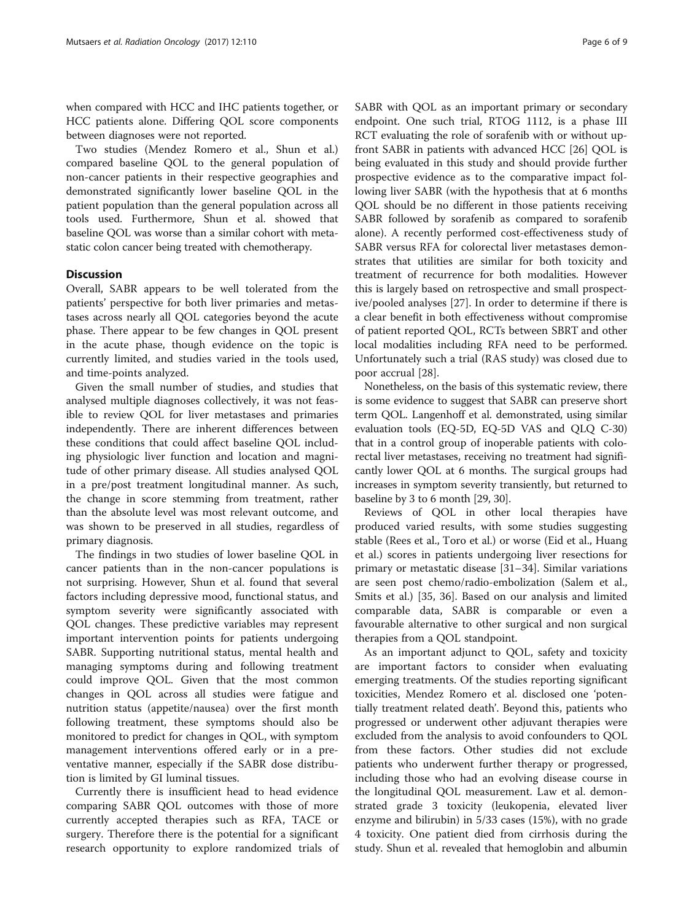when compared with HCC and IHC patients together, or HCC patients alone. Differing QOL score components between diagnoses were not reported.

Two studies (Mendez Romero et al., Shun et al.) compared baseline QOL to the general population of non-cancer patients in their respective geographies and demonstrated significantly lower baseline QOL in the patient population than the general population across all tools used. Furthermore, Shun et al. showed that baseline QOL was worse than a similar cohort with metastatic colon cancer being treated with chemotherapy.

## **Discussion**

Overall, SABR appears to be well tolerated from the patients' perspective for both liver primaries and metastases across nearly all QOL categories beyond the acute phase. There appear to be few changes in QOL present in the acute phase, though evidence on the topic is currently limited, and studies varied in the tools used, and time-points analyzed.

Given the small number of studies, and studies that analysed multiple diagnoses collectively, it was not feasible to review QOL for liver metastases and primaries independently. There are inherent differences between these conditions that could affect baseline QOL including physiologic liver function and location and magnitude of other primary disease. All studies analysed QOL in a pre/post treatment longitudinal manner. As such, the change in score stemming from treatment, rather than the absolute level was most relevant outcome, and was shown to be preserved in all studies, regardless of primary diagnosis.

The findings in two studies of lower baseline QOL in cancer patients than in the non-cancer populations is not surprising. However, Shun et al. found that several factors including depressive mood, functional status, and symptom severity were significantly associated with QOL changes. These predictive variables may represent important intervention points for patients undergoing SABR. Supporting nutritional status, mental health and managing symptoms during and following treatment could improve QOL. Given that the most common changes in QOL across all studies were fatigue and nutrition status (appetite/nausea) over the first month following treatment, these symptoms should also be monitored to predict for changes in QOL, with symptom management interventions offered early or in a preventative manner, especially if the SABR dose distribution is limited by GI luminal tissues.

Currently there is insufficient head to head evidence comparing SABR QOL outcomes with those of more currently accepted therapies such as RFA, TACE or surgery. Therefore there is the potential for a significant research opportunity to explore randomized trials of SABR with QOL as an important primary or secondary endpoint. One such trial, RTOG 1112, is a phase III RCT evaluating the role of sorafenib with or without upfront SABR in patients with advanced HCC [[26\]](#page-7-0) QOL is being evaluated in this study and should provide further prospective evidence as to the comparative impact following liver SABR (with the hypothesis that at 6 months QOL should be no different in those patients receiving SABR followed by sorafenib as compared to sorafenib alone). A recently performed cost-effectiveness study of SABR versus RFA for colorectal liver metastases demonstrates that utilities are similar for both toxicity and treatment of recurrence for both modalities. However this is largely based on retrospective and small prospective/pooled analyses [[27](#page-7-0)]. In order to determine if there is a clear benefit in both effectiveness without compromise of patient reported QOL, RCTs between SBRT and other local modalities including RFA need to be performed. Unfortunately such a trial (RAS study) was closed due to poor accrual [\[28\]](#page-7-0).

Nonetheless, on the basis of this systematic review, there is some evidence to suggest that SABR can preserve short term QOL. Langenhoff et al. demonstrated, using similar evaluation tools (EQ-5D, EQ-5D VAS and QLQ C-30) that in a control group of inoperable patients with colorectal liver metastases, receiving no treatment had significantly lower QOL at 6 months. The surgical groups had increases in symptom severity transiently, but returned to baseline by 3 to 6 month [\[29](#page-7-0), [30](#page-8-0)].

Reviews of QOL in other local therapies have produced varied results, with some studies suggesting stable (Rees et al., Toro et al.) or worse (Eid et al., Huang et al.) scores in patients undergoing liver resections for primary or metastatic disease [\[31](#page-8-0)–[34\]](#page-8-0). Similar variations are seen post chemo/radio-embolization (Salem et al., Smits et al.) [[35, 36](#page-8-0)]. Based on our analysis and limited comparable data, SABR is comparable or even a favourable alternative to other surgical and non surgical therapies from a QOL standpoint.

As an important adjunct to QOL, safety and toxicity are important factors to consider when evaluating emerging treatments. Of the studies reporting significant toxicities, Mendez Romero et al. disclosed one 'potentially treatment related death'. Beyond this, patients who progressed or underwent other adjuvant therapies were excluded from the analysis to avoid confounders to QOL from these factors. Other studies did not exclude patients who underwent further therapy or progressed, including those who had an evolving disease course in the longitudinal QOL measurement. Law et al. demonstrated grade 3 toxicity (leukopenia, elevated liver enzyme and bilirubin) in 5/33 cases (15%), with no grade 4 toxicity. One patient died from cirrhosis during the study. Shun et al. revealed that hemoglobin and albumin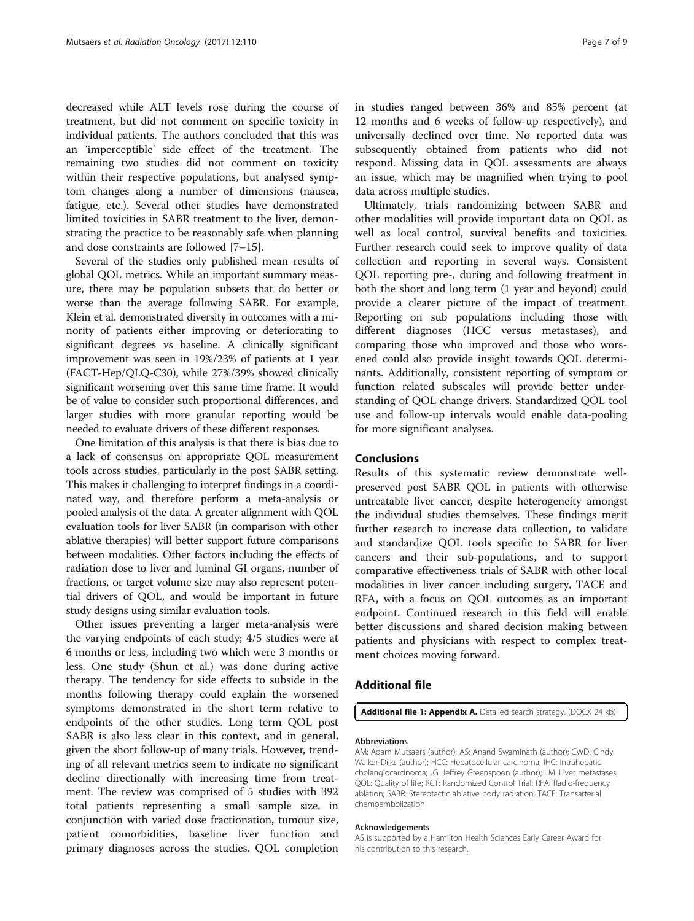<span id="page-6-0"></span>decreased while ALT levels rose during the course of treatment, but did not comment on specific toxicity in individual patients. The authors concluded that this was an 'imperceptible' side effect of the treatment. The remaining two studies did not comment on toxicity within their respective populations, but analysed symptom changes along a number of dimensions (nausea, fatigue, etc.). Several other studies have demonstrated limited toxicities in SABR treatment to the liver, demonstrating the practice to be reasonably safe when planning and dose constraints are followed [\[7](#page-7-0)–[15\]](#page-7-0).

Several of the studies only published mean results of global QOL metrics. While an important summary measure, there may be population subsets that do better or worse than the average following SABR. For example, Klein et al. demonstrated diversity in outcomes with a minority of patients either improving or deteriorating to significant degrees vs baseline. A clinically significant improvement was seen in 19%/23% of patients at 1 year (FACT-Hep/QLQ-C30), while 27%/39% showed clinically significant worsening over this same time frame. It would be of value to consider such proportional differences, and larger studies with more granular reporting would be needed to evaluate drivers of these different responses.

One limitation of this analysis is that there is bias due to a lack of consensus on appropriate QOL measurement tools across studies, particularly in the post SABR setting. This makes it challenging to interpret findings in a coordinated way, and therefore perform a meta-analysis or pooled analysis of the data. A greater alignment with QOL evaluation tools for liver SABR (in comparison with other ablative therapies) will better support future comparisons between modalities. Other factors including the effects of radiation dose to liver and luminal GI organs, number of fractions, or target volume size may also represent potential drivers of QOL, and would be important in future study designs using similar evaluation tools.

Other issues preventing a larger meta-analysis were the varying endpoints of each study; 4/5 studies were at 6 months or less, including two which were 3 months or less. One study (Shun et al.) was done during active therapy. The tendency for side effects to subside in the months following therapy could explain the worsened symptoms demonstrated in the short term relative to endpoints of the other studies. Long term QOL post SABR is also less clear in this context, and in general, given the short follow-up of many trials. However, trending of all relevant metrics seem to indicate no significant decline directionally with increasing time from treatment. The review was comprised of 5 studies with 392 total patients representing a small sample size, in conjunction with varied dose fractionation, tumour size, patient comorbidities, baseline liver function and primary diagnoses across the studies. QOL completion in studies ranged between 36% and 85% percent (at 12 months and 6 weeks of follow-up respectively), and universally declined over time. No reported data was subsequently obtained from patients who did not respond. Missing data in QOL assessments are always an issue, which may be magnified when trying to pool data across multiple studies.

Ultimately, trials randomizing between SABR and other modalities will provide important data on QOL as well as local control, survival benefits and toxicities. Further research could seek to improve quality of data collection and reporting in several ways. Consistent QOL reporting pre-, during and following treatment in both the short and long term (1 year and beyond) could provide a clearer picture of the impact of treatment. Reporting on sub populations including those with different diagnoses (HCC versus metastases), and comparing those who improved and those who worsened could also provide insight towards QOL determinants. Additionally, consistent reporting of symptom or function related subscales will provide better understanding of QOL change drivers. Standardized QOL tool use and follow-up intervals would enable data-pooling for more significant analyses.

## Conclusions

Results of this systematic review demonstrate wellpreserved post SABR QOL in patients with otherwise untreatable liver cancer, despite heterogeneity amongst the individual studies themselves. These findings merit further research to increase data collection, to validate and standardize QOL tools specific to SABR for liver cancers and their sub-populations, and to support comparative effectiveness trials of SABR with other local modalities in liver cancer including surgery, TACE and RFA, with a focus on QOL outcomes as an important endpoint. Continued research in this field will enable better discussions and shared decision making between patients and physicians with respect to complex treatment choices moving forward.

## Additional file

[Additional file 1: Appendix A.](dx.doi.org/10.1186/s13014-017-0818-8) Detailed search strategy. (DOCX 24 kb)

#### Abbreviations

AM: Adam Mutsaers (author); AS: Anand Swaminath (author); CWD: Cindy Walker-Dilks (author); HCC: Hepatocellular carcinoma; IHC: Intrahepatic cholangiocarcinoma; JG: Jeffrey Greenspoon (author); LM: Liver metastases; QOL: Quality of life; RCT: Randomized Control Trial; RFA: Radio-frequency ablation; SABR: Stereotactic ablative body radiation; TACE: Transarterial chemoembolization

#### Acknowledgements

AS is supported by a Hamilton Health Sciences Early Career Award for his contribution to this research.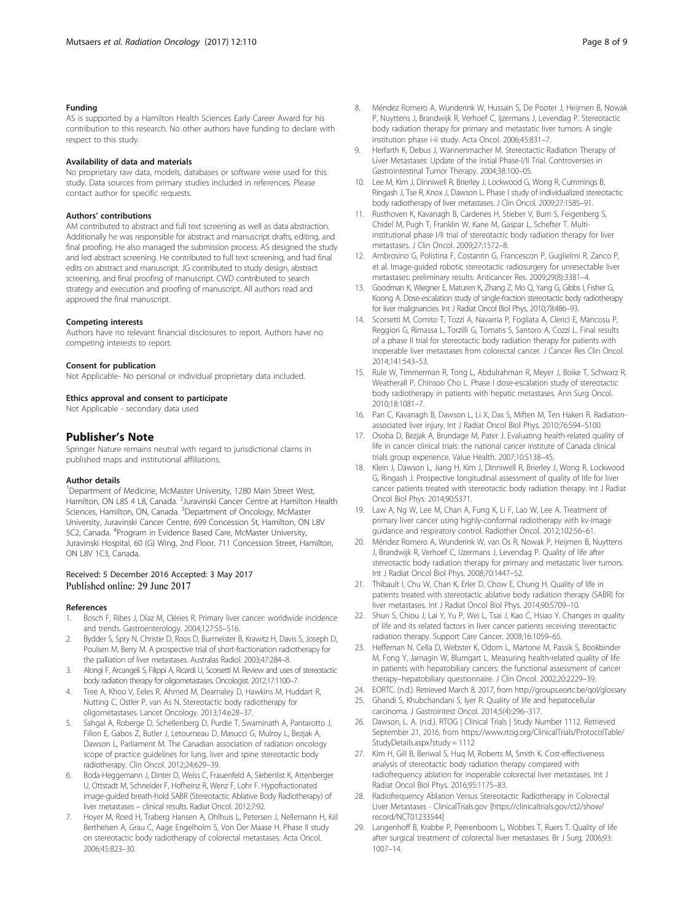## <span id="page-7-0"></span>Funding

AS is supported by a Hamilton Health Sciences Early Career Award for his contribution to this research. No other authors have funding to declare with respect to this study.

#### Availability of data and materials

No proprietary raw data, models, databases or software were used for this study. Data sources from primary studies included in references. Please contact author for specific requests.

#### Authors' contributions

AM contributed to abstract and full text screening as well as data abstraction. Additionally he was responsible for abstract and manuscript drafts, editing, and final proofing. He also managed the submission process. AS designed the study and led abstract screening. He contributed to full text screening, and had final edits on abstract and manuscript. JG contributed to study design, abstract screening, and final proofing of manuscript. CWD contributed to search strategy and execution and proofing of manuscript. All authors read and approved the final manuscript.

## Competing interests

Authors have no relevant financial disclosures to report. Authors have no competing interests to report.

#### Consent for publication

Not Applicable- No personal or individual proprietary data included.

#### Ethics approval and consent to participate

Not Applicable - secondary data used

#### Publisher's Note

Springer Nature remains neutral with regard to jurisdictional claims in published maps and institutional affiliations.

#### Author details

<sup>1</sup>Department of Medicine, McMaster University, 1280 Main Street West, Hamilton, ON L8S 4 L8, Canada. <sup>2</sup> Juravinski Cancer Centre at Hamilton Health Sciences, Hamilton, ON, Canada. <sup>3</sup>Department of Oncology, McMaster University, Juravinski Cancer Centre, 699 Concession St, Hamilton, ON L8V 5C2, Canada. <sup>4</sup>Program in Evidence Based Care, McMaster University, Juravinski Hospital, 60 (G) Wing, 2nd Floor, 711 Concession Street, Hamilton, ON L8V 1C3, Canada.

# Received: 5 December 2016 Accepted: 3 May 2017 Published online: 29 June 2017

#### References

- 1. Bosch F, Ribes J, Díaz M, Cléries R. Primary liver cancer: worldwide incidence and trends. Gastroenterology. 2004;127:S5–S16.
- 2. Bydder S, Spry N, Christie D, Roos D, Burmeister B, Krawitz H, Davis S, Joseph D, Poulsen M, Berry M. A prospective trial of short-fractionation radiotherapy for the palliation of liver metastases. Australas Radiol. 2003;47:284–8.
- 3. Alongi F, Arcangeli S, Filippi A, Ricardi U, Scorsetti M. Review and uses of stereotactic body radiation therapy for oligometastases. Oncologist. 2012;17:1100–7.
- 4. Tree A, Khoo V, Eeles R, Ahmed M, Dearnaley D, Hawkins M, Huddart R, Nutting C, Ostler P, van As N. Stereotactic body radiotherapy for oligometastases. Lancet Oncology. 2013;14:e28–37.
- 5. Sahgal A, Roberge D, Schellenberg D, Purdie T, Swaminath A, Pantarotto J, Filion E, Gabos Z, Butler J, Letourneau D, Masucci G, Mulroy L, Bezjak A, Dawson L, Parliament M. The Canadian association of radiation oncology scope of practice guidelines for lung, liver and spine stereotactic body radiotherapy. Clin Oncol. 2012;24:629–39.
- 6. Boda-Heggemann J, Dinter D, Weiss C, Frauenfeld A, Siebenlist K, Attenberger U, Ottstadt M, Schneider F, Hofheinz R, Wenz F, Lohr F. Hypofractionated image-guided breath-hold SABR (Stereotactic Ablative Body Radiotherapy) of liver metastases – clinical results. Radiat Oncol. 2012;7:92.
- Hoyer M, Roed H, Traberg Hansen A, Ohlhuis L, Petersen J, Nellemann H, Kiil Berthelsen A, Grau C, Aage Engelholm S, Von Der Maase H. Phase II study on stereotactic body radiotherapy of colorectal metastases. Acta Oncol. 2006;45:823–30.
- 8. Méndez Romero A, Wunderink W, Hussain S, De Pooter J, Heijmen B, Nowak P, Nuyttens J, Brandwijk R, Verhoef C, Ijzermans J, Levendag P. Stereotactic body radiation therapy for primary and metastatic liver tumors: A single institution phase i-ii study. Acta Oncol. 2006;45:831–7.
- 9. Herfarth K, Debus J, Wannenmacher M. Stereotactic Radiation Therapy of Liver Metastases: Update of the Initial Phase-I/II Trial. Controversies in Gastrointestinal Tumor Therapy. 2004;38:100–05.
- 10. Lee M, Kim J, Dinniwell R, Brierley J, Lockwood G, Wong R, Cummings B, Ringash J, Tse R, Knox J, Dawson L. Phase I study of individualized stereotactic body radiotherapy of liver metastases. J Clin Oncol. 2009;27:1585–91.
- 11. Rusthoven K, Kavanagh B, Cardenes H, Stieber V, Burri S, Feigenberg S, Chidel M, Pugh T, Franklin W, Kane M, Gaspar L, Schefter T. Multiinstitutional phase I/II trial of stereotactic body radiation therapy for liver metastases. J Clin Oncol. 2009;27:1572–8.
- 12. Ambrosino G, Polistina F, Costantin G, Francescon P, Guglielmi R, Zanco P, et al. Image-guided robotic stereotactic radiosurgery for unresectable liver metastases: preliminary results. Anticancer Res. 2009;29(8):3381–4.
- 13. Goodman K, Wiegner E, Maturen K, Zhang Z, Mo Q, Yang G, Gibbs I, Fisher G, Koong A. Dose-escalation study of single-fraction stereotactic body radiotherapy for liver malignancies. Int J Radiat Oncol Biol Phys. 2010;78:486–93.
- 14. Scorsetti M, Comito T, Tozzi A, Navarria P, Fogliata A, Clerici E, Mancosu P, Reggiori G, Rimassa L, Torzilli G, Tomatis S, Santoro A, Cozzi L. Final results of a phase II trial for stereotactic body radiation therapy for patients with inoperable liver metastases from colorectal cancer. J Cancer Res Clin Oncol. 2014;141:543–53.
- 15. Rule W, Timmerman R, Tong L, Abdulrahman R, Meyer J, Boike T, Schwarz R, Weatherall P, Chinsoo Cho L. Phase I dose-escalation study of stereotactic body radiotherapy in patients with hepatic metastases. Ann Surg Oncol. 2010;18:1081–7.
- 16. Pan C, Kavanagh B, Dawson L, Li X, Das S, Miften M, Ten Haken R. Radiationassociated liver injury. Int J Radiat Oncol Biol Phys. 2010;76:S94–S100.
- 17. Osoba D, Bezjak A, Brundage M, Pater J. Evaluating health-related quality of life in cancer clinical trials: the national cancer institute of Canada clinical trials group experience. Value Health. 2007;10:S138–45.
- 18. Klein J, Dawson L, Jiang H, Kim J, Dinniwell R, Brierley J, Wong R, Lockwood G, Ringash J. Prospective longitudinal assessment of quality of life for liver cancer patients treated with stereotactic body radiation therapy. Int J Radiat Oncol Biol Phys. 2014;90:S371.
- 19. Law A, Ng W, Lee M, Chan A, Fung K, Li F, Lao W, Lee A. Treatment of primary liver cancer using highly-conformal radiotherapy with kv-image guidance and respiratory control. Radiother Oncol. 2012;102:56–61.
- 20. Méndez Romero A, Wunderink W, van Os R, Nowak P, Heijmen B, Nuyttens J, Brandwijk R, Verhoef C, IJzermans J, Levendag P. Quality of life after stereotactic body radiation therapy for primary and metastatic liver tumors. Int J Radiat Oncol Biol Phys. 2008;70:1447–52.
- 21. Thibault I, Chu W, Chan K, Erler D, Chow E, Chung H. Quality of life in patients treated with stereotactic ablative body radiation therapy (SABR) for liver metastases. Int J Radiat Oncol Biol Phys. 2014;90:S709–10.
- 22. Shun S, Chiou J, Lai Y, Yu P, Wei L, Tsai J, Kao C, Hsiao Y. Changes in quality of life and its related factors in liver cancer patients receiving stereotactic radiation therapy. Support Care Cancer. 2008;16:1059–65.
- 23. Heffernan N, Cella D, Webster K, Odom L, Martone M, Passik S, Bookbinder M, Fong Y, Jarnagin W, Blumgart L. Measuring health-related quality of life in patients with hepatobiliary cancers: the functional assessment of cancer therapy–hepatobiliary questionnaire. J Clin Oncol. 2002;20:2229–39.
- 24. EORTC. (n.d.). Retrieved March 8, 2017, from<http://groups.eortc.be/qol/glossary>
- 25. Ghandi S, Khubchandani S, Iyer R. Quality of life and hepatocellular carcinoma. J Gastrointest Oncol. 2014;5(4):296–317.
- 26. Dawson, L. A. (n.d.). RTOG | Clinical Trials | Study Number 1112. Retrieved September 21, 2016, from https://www.rtog.org/ClinicalTrials/ProtocolTable/ StudyDetails.aspx?study = 1112
- 27. Kim H, Gill B, Beriwal S, Huq M, Roberts M, Smith K. Cost-effectiveness analysis of stereotactic body radiation therapy compared with radiofrequency ablation for inoperable colorectal liver metastases. Int J Radiat Oncol Biol Phys. 2016;95:1175–83.
- 28. Radiofrequency Ablation Versus Stereotactic Radiotherapy in Colorectal Liver Metastases - ClinicalTrials.gov [\[https://clinicaltrials.gov/ct2/show/](https://clinicaltrials.gov/ct2/show/record/NCT01233544) [record/NCT01233544\]](https://clinicaltrials.gov/ct2/show/record/NCT01233544)
- 29. Langenhoff B, Krabbe P, Peerenboom L, Wobbes T, Ruers T. Quality of life after surgical treatment of colorectal liver metastases. Br J Surg. 2006;93: 1007–14.